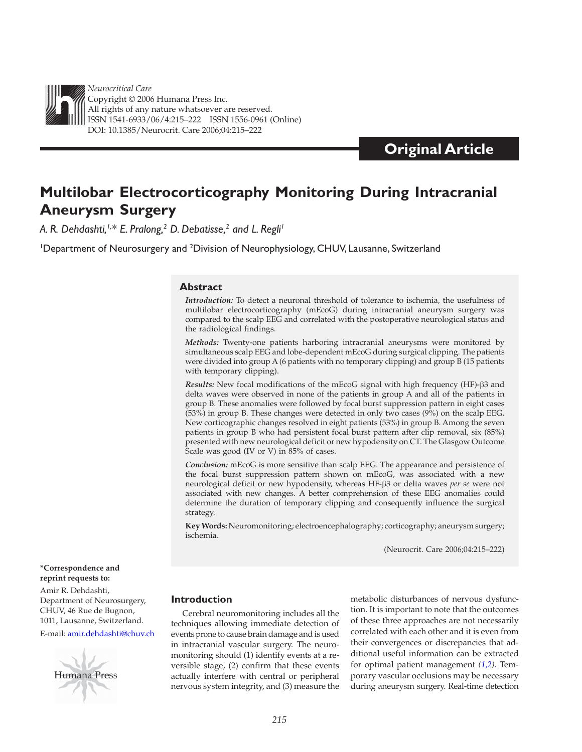

*Neurocritical Care* Copyright © 2006 Humana Press Inc. All rights of any nature whatsoever are reserved. ISSN 1541-6933/06/4:215–222 ISSN 1556-0961 (Online) DOI: 10.1385/Neurocrit. Care 2006;04:215–222

# **Original Article**

# **Multilobar Electrocorticography Monitoring During Intracranial Aneurysm Surgery**

 *A. R. Dehdashti,1,\* E. Pralong ,2 D. Debatisse ,2 and L. Regli 1*

<sup>1</sup>Department of Neurosurgery and <sup>2</sup>Division of Neurophysiology, CHUV, Lausanne, Switzerland

## **Abstract**

*Introduction:* To detect a neuronal threshold of tolerance to ischemia, the usefulness of multilobar electrocorticography (mEcoG) during intracranial aneurysm surgery was compared to the scalp EEG and correlated with the postoperative neurological status and the radiological findings.

*Methods:* Twenty-one patients harboring intracranial aneurysms were monitored by simultaneous scalp EEG and lobe-dependent mEcoG during surgical clipping. The patients were divided into group A (6 patients with no temporary clipping) and group B (15 patients with temporary clipping).

*Results:* New focal modifications of the mEcoG signal with high frequency (HF)- $\beta$ 3 and delta waves were observed in none of the patients in group A and all of the patients in group B. These anomalies were followed by focal burst suppression pattern in eight cases (53%) in group B. These changes were detected in only two cases (9%) on the scalp EEG. New corticographic changes resolved in eight patients (53%) in group B. Among the seven patients in group B who had persistent focal burst pattern after clip removal, six (85%) presented with new neurological deficit or new hypodensity on CT. The Glasgow Outcome Scale was good (IV or V) in 85% of cases.

*Conclusion:* mEcoG is more sensitive than scalp EEG. The appearance and persistence of the focal burst suppression pattern shown on mEcoG, was associated with a new neurological deficit or new hypodensity, whereas HF- $\beta$ 3 or delta waves *per se* were not associated with new changes. A better comprehension of these EEG anomalies could determine the duration of temporary clipping and consequently influence the surgical strategy.

Key Words: Neuromonitoring; electroencephalography; corticography; aneurysm surgery; ischemia.

(Neurocrit. Care 2006;04:215–222)

#### **\*Correspondence and reprint requests to:**

Amir R. Dehdashti, Department of Neurosurgery, CHUV, 46 Rue de Bugnon, 1011, Lausanne, Switzerland.

E-mail[: amir.dehdashti@chuv.ch](mailto:amir.dehdashti@chuv.ch) 



# **Introduction**

 Cerebral neuromonitoring includes all the techniques allowing immediate detection of events prone to cause brain damage and is used in intracranial vascular surgery. The neuromonitoring should (1) identify events at a reversible stage, (2) confirm that these events actually interfere with central or peripheral nervous system integrity, and (3) measure the

metabolic disturbances of nervous dysfunction. It is important to note that the outcomes of these three approaches are not necessarily correlated with each other and it is even from their convergences or discrepancies that additional useful information can be extracted for optimal patient management *[\(1,2\)](#page-6-0)* . Temporary vascular occlusions may be necessary during aneurysm surgery. Real-time detection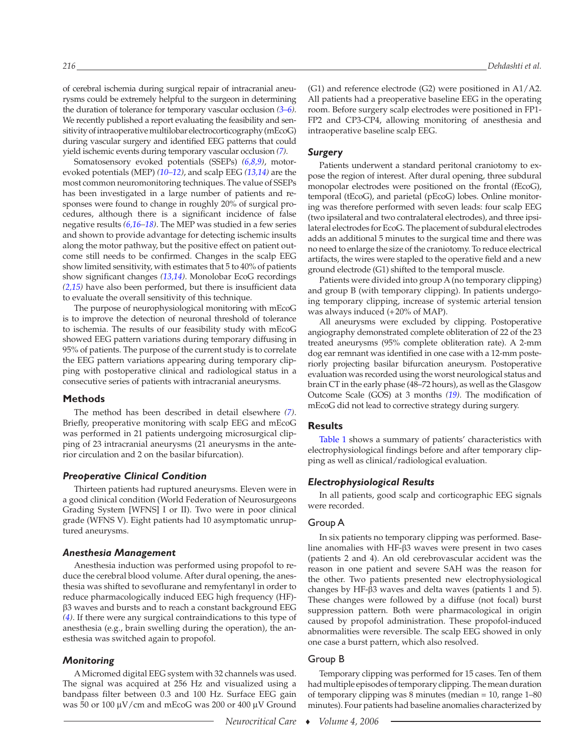of cerebral ischemia during surgical repair of intracranial aneurysms could be extremely helpful to the surgeon in determining the duration of tolerance for temporary vascular occlusion *[\(3 –6\)](#page-6-0)* . We recently published a report evaluating the feasibility and sensitivity of intraoperative multilobar electrocorticography (mEcoG) during vascular surgery and identified EEG patterns that could yield ischemic events during temporary vascular occlusion *[\(7\)](#page-6-0)* .

Somatosensory evoked potentials *(SSEPs) [\(6,8,9\)](#page-6-0),* motorevoked potentials (MEP) *[\(10 – 12\)](#page-6-0)* , and scalp EEG *[\(13,14\)](#page-6-0)* are the most common neuromonitoring techniques. The value of SSEPs has been investigated in a large number of patients and responses were found to change in roughly 20% of surgical procedures, although there is a significant incidence of false negative results *[\(6,16 – 18\)](#page-6-0)* . The MEP was studied in a few series and shown to provide advantage for detecting ischemic insults along the motor pathway, but the positive effect on patient outcome still needs to be confirmed. Changes in the scalp EEG show limited sensitivity, with estimates that 5 to 40% of patients show significant changes *[\(13,14\)](#page-6-0)* . Monolobar EcoG recordings  *[\(2,15\)](#page-6-0)* have also been performed, but there is insufficient data to evaluate the overall sensitivity of this technique.

 The purpose of neurophysiological monitoring with mEcoG is to improve the detection of neuronal threshold of tolerance to ischemia. The results of our feasibility study with mEcoG showed EEG pattern variations during temporary diffusing in 95% of patients. The purpose of the current study is to correlate the EEG pattern variations appearing during temporary clipping with postoperative clinical and radiological status in a consecutive series of patients with intracranial aneurysms.

#### **Methods**

The method has been described in detail elsewhere *[\(7\)](#page-6-0)* . Briefly, preoperative monitoring with scalp EEG and mEcoG was performed in 21 patients undergoing microsurgical clipping of 23 intracranial aneurysms (21 aneurysms in the anterior circulation and 2 on the basilar bifurcation).

#### *Preoperative Clinical Condition*

 Thirteen patients had ruptured aneurysms. Eleven were in a good clinical condition (World Federation of Neurosurgeons Grading System [WFNS] I or II). Two were in poor clinical grade (WFNS V). Eight patients had 10 asymptomatic unruptured aneurysms.

#### *Anesthesia Management*

 Anesthesia induction was performed using propofol to reduce the cerebral blood volume. After dural opening, the anesthesia was shifted to sevoflurane and remyfentanyl in order to reduce pharmacologically induced EEG high frequency (HF)-  $\beta$ 3 waves and bursts and to reach a constant background EEG  *[\(4\)](#page-6-0)* . If there were any surgical contraindications to this type of anesthesia (e.g., brain swelling during the operation), the anesthesia was switched again to propofol.

#### *Monitoring*

 A Micromed digital EEG system with 32 channels was used. The signal was acquired at 256 Hz and visualized using a bandpass filter between 0.3 and 100 Hz. Surface EEG gain was 50 or 100  $\mu$ V/cm and mEcoG was 200 or 400  $\mu$ V Ground (G1) and reference electrode (G2) were positioned in A1/A2. All patients had a preoperative baseline EEG in the operating room. Before surgery scalp electrodes were positioned in FP1- FP2 and CP3-CP4, allowing monitoring of anesthesia and intraoperative baseline scalp EEG.

## *Surgery*

 Patients underwent a standard peritonal craniotomy to expose the region of interest. After dural opening, three subdural monopolar electrodes were positioned on the frontal (fEcoG), temporal (tEcoG), and parietal (pEcoG) lobes. Online monitoring was therefore performed with seven leads: four scalp EEG (two ipsilateral and two contralateral electrodes), and three ipsilateral electrodes for EcoG. The placement of subdural electrodes adds an additional 5 minutes to the surgical time and there was no need to enlarge the size of the craniotomy. To reduce electrical artifacts, the wires were stapled to the operative field and a new ground electrode (G1) shifted to the temporal muscle.

 Patients were divided into group A (no temporary clipping) and group B (with temporary clipping). In patients undergoing temporary clipping, increase of systemic arterial tension was always induced (+20% of MAP).

 All aneurysms were excluded by clipping. Postoperative angiography demonstrated complete obliteration of 22 of the 23 treated aneurysms (95% complete obliteration rate). A 2-mm dog ear remnant was identified in one case with a 12-mm posteriorly projecting basilar bifurcation aneurysm. Postoperative evaluation was recorded using the worst neurological status and brain CT in the early phase (48–72 hours), as well as the Glasgow Outcome Scale (GOS) at 3 months *[\(19\)](#page-6-0)* . The modification of mEcoG did not lead to corrective strategy during surgery.

## **Results**

[Table 1](#page-3-0) shows a summary of patients' characteristics with electrophysiological findings before and after temporary clipping as well as clinical/radiological evaluation.

#### *Electrophysiological Results*

 In all patients, good scalp and corticographic EEG signals were recorded.

#### Group A

 In six patients no temporary clipping was performed. Baseline anomalies with HF- $\beta$ 3 waves were present in two cases (patients 2 and 4). An old cerebrovascular accident was the reason in one patient and severe SAH was the reason for the other. Two patients presented new electrophysiological changes by HF- $\beta$ 3 waves and delta waves (patients 1 and 5). These changes were followed by a diffuse (not focal) burst suppression pattern. Both were pharmacological in origin caused by propofol administration. These propofol-induced abnormalities were reversible. The scalp EEG showed in only one case a burst pattern, which also resolved.

#### Group B

 Temporary clipping was performed for 15 cases. Ten of them had multiple episodes of temporary clipping. The mean duration of temporary clipping was 8 minutes (median = 10, range 1-80 minutes). Four patients had baseline anomalies characterized by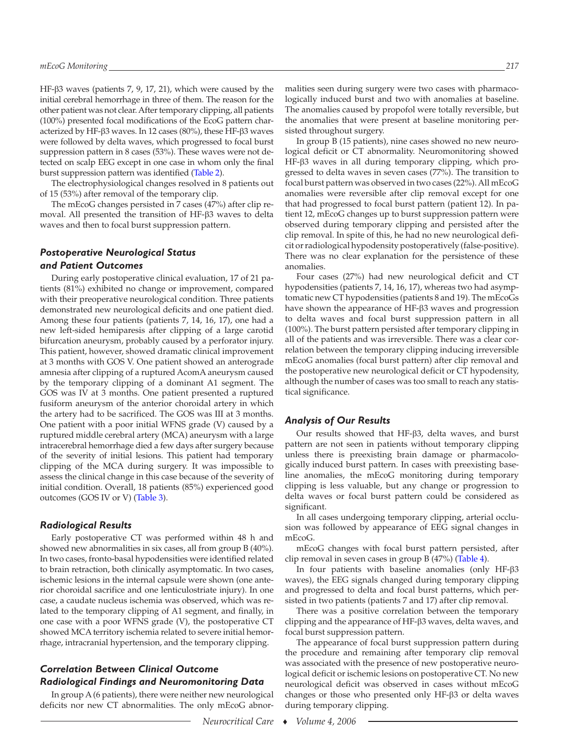HF- $\beta$ 3 waves (patients 7, 9, 17, 21), which were caused by the initial cerebral hemorrhage in three of them. The reason for the other patient was not clear. After temporary clipping, all patients (100%) presented focal modifications of the EcoG pattern characterized by HF- $\beta$ 3 waves. In 12 cases (80%), these HF- $\beta$ 3 waves were followed by delta waves, which progressed to focal burst suppression pattern in 8 cases (53%). These waves were not detected on scalp EEG except in one case in whom only the final burst suppression pattern was identified [\(Table 2\)](#page-5-0).

 The electrophysiological changes resolved in 8 patients out of 15 (53%) after removal of the temporary clip.

 The mEcoG changes persisted in 7 cases (47%) after clip removal. All presented the transition of HF- $\beta$ 3 waves to delta waves and then to focal burst suppression pattern.

# *Postoperative Neurological Status and Patient Outcomes*

 During early postoperative clinical evaluation, 17 of 21 patients (81%) exhibited no change or improvement, compared with their preoperative neurological condition. Three patients demonstrated new neurological deficits and one patient died. Among these four patients (patients 7, 14, 16, 17), one had a new left-sided hemiparesis after clipping of a large carotid bifurcation aneurysm, probably caused by a perforator injury. This patient, however, showed dramatic clinical improvement at 3 months with GOS V. One patient showed an anterograde amnesia after clipping of a ruptured AcomA aneurysm caused by the temporary clipping of a dominant A1 segment. The GOS was IV at 3 months. One patient presented a ruptured fusiform aneurysm of the anterior choroidal artery in which the artery had to be sacrificed. The GOS was III at 3 months. One patient with a poor initial WFNS grade (V) caused by a ruptured middle cerebral artery (MCA) aneurysm with a large intracerebral hemorrhage died a few days after surgery because of the severity of initial lesions. This patient had temporary clipping of the MCA during surgery. It was impossible to assess the clinical change in this case because of the severity of initial condition. Overall, 18 patients (85%) experienced good outcomes (GOS IV or V) [\(Table 3\)](#page-5-0).

#### *Radiological Results*

 Early postoperative CT was performed within 48 h and showed new abnormalities in six cases, all from group B (40%). In two cases, fronto-basal hypodensities were identified related to brain retraction, both clinically asymptomatic. In two cases, ischemic lesions in the internal capsule were shown (one anterior choroidal sacrifice and one lenticulostriate injury). In one case, a caudate nucleus ischemia was observed, which was related to the temporary clipping of A1 segment, and finally, in one case with a poor WFNS grade (V), the postoperative CT showed MCA territory ischemia related to severe initial hemorrhage, intracranial hypertension, and the temporary clipping.

# *Correlation Between Clinical Outcome Radiological Findings and Neuromonitoring Data*

 In group A (6 patients), there were neither new neurological deficits nor new CT abnormalities. The only mEcoG abnor-

malities seen during surgery were two cases with pharmacologically induced burst and two with anomalies at baseline. The anomalies caused by propofol were totally reversible, but the anomalies that were present at baseline monitoring persisted throughout surgery.

 In group B (15 patients), nine cases showed no new neurological deficit or CT abnormality. Neuromonitoring showed HF-ß3 waves in all during temporary clipping, which progressed to delta waves in seven cases (77%). The transition to focal burst pattern was observed in two cases (22%). All mEcoG anomalies were reversible after clip removal except for one that had progressed to focal burst pattern (patient 12). In patient 12, mEcoG changes up to burst suppression pattern were observed during temporary clipping and persisted after the clip removal. In spite of this, he had no new neurological deficit or radiological hypodensity postoperatively (false-positive). There was no clear explanation for the persistence of these anomalies.

 Four cases (27%) had new neurological deficit and CT hypodensities (patients 7, 14, 16, 17), whereas two had asymptomatic new CT hypodensities (patients 8 and 19). The mEcoGs have shown the appearance of  $HF- $\beta$ 3 waves and progression$ to delta waves and focal burst suppression pattern in all (100%). The burst pattern persisted after temporary clipping in all of the patients and was irreversible. There was a clear correlation between the temporary clipping inducing irreversible mEcoG anomalies (focal burst pattern) after clip removal and the postoperative new neurological deficit or CT hypodensity, although the number of cases was too small to reach any statistical significance.

#### *Analysis of Our Results*

Our results showed that HF- $\beta$ 3, delta waves, and burst pattern are not seen in patients without temporary clipping unless there is preexisting brain damage or pharmacologically induced burst pattern. In cases with preexisting baseline anomalies, the mEcoG monitoring during temporary clipping is less valuable, but any change or progression to delta waves or focal burst pattern could be considered as significant.

 In all cases undergoing temporary clipping, arterial occlusion was followed by appearance of EEG signal changes in mEcoG.

 mEcoG changes with focal burst pattern persisted, after clip removal in seven cases in group B (47%) [\(Table 4\)](#page-6-0).

In four patients with baseline anomalies (only  $HF- $\beta$ 3$ waves), the EEG signals changed during temporary clipping and progressed to delta and focal burst patterns, which persisted in two patients (patients 7 and 17) after clip removal.

 There was a positive correlation between the temporary clipping and the appearance of HF- $\beta$ 3 waves, delta waves, and focal burst suppression pattern.

 The appearance of focal burst suppression pattern during the procedure and remaining after temporary clip removal was associated with the presence of new postoperative neurological deficit or ischemic lesions on postoperative CT. No new neurological deficit was observed in cases without mEcoG changes or those who presented only HF- $\beta$ 3 or delta waves during temporary clipping.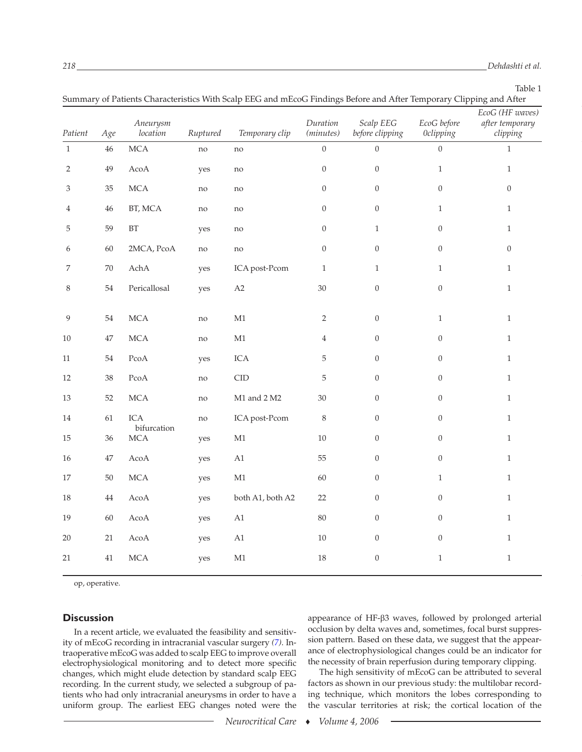Table 1

<span id="page-3-0"></span>

| Summary of Patients Characteristics With Scalp EEG and mEcoG Findings Before and After Temporary Clipping and After |        |                                                         |          |                            |                       |                              |                                 |                                                |
|---------------------------------------------------------------------------------------------------------------------|--------|---------------------------------------------------------|----------|----------------------------|-----------------------|------------------------------|---------------------------------|------------------------------------------------|
| Patient                                                                                                             | Age    | Aneurysm<br>location                                    | Ruptured | Temporary clip             | Duration<br>(minutes) | Scalp EEG<br>before clipping | EcoG before<br><b>Oclipping</b> | EcoG (HF waves)<br>after temporary<br>clipping |
| $\,1\,$                                                                                                             | $46\,$ | <b>MCA</b>                                              | no       | no                         | $\boldsymbol{0}$      | $\overline{0}$               | $\overline{0}$                  | $\mathbf{1}$                                   |
| $\overline{c}$                                                                                                      | 49     | $\mathbf{A}\mathbf{co}\mathbf{A}$                       | yes      | $\mathop{\rm no}\nolimits$ | $\boldsymbol{0}$      | $\boldsymbol{0}$             | $\mathbf{1}$                    | $\mathbf{1}$                                   |
| 3                                                                                                                   | 35     | <b>MCA</b>                                              | no       | $\mathop{\rm no}\nolimits$ | $\boldsymbol{0}$      | $\boldsymbol{0}$             | $\boldsymbol{0}$                | $\boldsymbol{0}$                               |
| 4                                                                                                                   | 46     | BT, MCA                                                 | no       | $\mathop{\rm no}\nolimits$ | $\boldsymbol{0}$      | $\boldsymbol{0}$             | $\mathbf{1}$                    | $\mathbf{1}$                                   |
| 5                                                                                                                   | 59     | $\operatorname{BT}$                                     | yes      | no                         | $\boldsymbol{0}$      | $\mathbf{1}$                 | $\boldsymbol{0}$                | $\mathbf{1}$                                   |
| 6                                                                                                                   | $60\,$ | 2MCA, PcoA                                              | no       | $\mathop{\rm no}\nolimits$ | $\boldsymbol{0}$      | $\boldsymbol{0}$             | $\boldsymbol{0}$                | $\boldsymbol{0}$                               |
| 7                                                                                                                   | $70\,$ | ${\mathop{\rm Ach}\nolimits} {\mathop{\rm A}\nolimits}$ | yes      | ICA post-Pcom              | $\mathbf{1}$          | $\mathbf{1}$                 | $\mathbf{1}$                    | $\mathbf{1}$                                   |
| 8                                                                                                                   | $54\,$ | Pericallosal                                            | yes      | $\rm A2$                   | 30                    | $\boldsymbol{0}$             | $\boldsymbol{0}$                | $\mathbf{1}$                                   |
| 9                                                                                                                   | $54\,$ | <b>MCA</b>                                              | no       | M1                         | 2                     | $\boldsymbol{0}$             | $\mathbf{1}$                    | $\mathbf{1}$                                   |
| 10                                                                                                                  | $47\,$ | <b>MCA</b>                                              | no       | $\mathbf{M}1$              | $\overline{4}$        | $\overline{0}$               | $\boldsymbol{0}$                | $\,1\,$                                        |
| 11                                                                                                                  | $54\,$ | PcoA                                                    | yes      | ICA                        | 5                     | $\overline{0}$               | $\boldsymbol{0}$                | $\,1\,$                                        |
| 12                                                                                                                  | $38\,$ | PcoA                                                    | no       | CID                        | 5                     | $\boldsymbol{0}$             | $\boldsymbol{0}$                | $\mathbf{1}$                                   |
| 13                                                                                                                  | 52     | <b>MCA</b>                                              | no       | M1 and 2 M2                | 30                    | $\overline{0}$               | $\boldsymbol{0}$                | $\mathbf{1}$                                   |
| 14                                                                                                                  | 61     | ICA<br>bifurcation                                      | no       | ICA post-Pcom              | $\,8\,$               | $\overline{0}$               | $\boldsymbol{0}$                | $\mathbf{1}$                                   |
| 15                                                                                                                  | $36\,$ | <b>MCA</b>                                              | yes      | $\mathbf{M}1$              | $10\,$                | $\boldsymbol{0}$             | $\overline{0}$                  | $\,1\,$                                        |
| 16                                                                                                                  | $47\,$ | AcoA                                                    | yes      | A1                         | 55                    | $\overline{0}$               | $\boldsymbol{0}$                | $\mathbf{1}$                                   |
| 17                                                                                                                  | $50\,$ | <b>MCA</b>                                              | yes      | $\mathbf{M}1$              | 60                    | $\overline{0}$               | $\mathbf{1}$                    | $\mathbf{1}$                                   |
| 18                                                                                                                  | $44\,$ | AcoA                                                    | yes      | both A1, both A2           | 22                    | $\overline{0}$               | $\boldsymbol{0}$                | $\mathbf{1}$                                   |
| 19                                                                                                                  | 60     | AcoA                                                    | yes      | $\rm A1$                   | 80                    | $\overline{0}$               | $\boldsymbol{0}$                | $\,1\,$                                        |
| 20                                                                                                                  | 21     | AcoA                                                    | yes      | A1                         | $10\,$                | $\overline{0}$               | $\boldsymbol{0}$                | $\mathbf{1}$                                   |
| 21                                                                                                                  | $41\,$ | <b>MCA</b>                                              | yes      | $\mathbf{M}1$              | 18                    | $\boldsymbol{0}$             | $\mathbf{1}$                    | $\,1\,$                                        |
|                                                                                                                     |        |                                                         |          |                            |                       |                              |                                 |                                                |

op, operative.

# **Discussion**

 In a recent article, we evaluated the feasibility and sensitivity of mEcoG recording in intracranial vascular surgery *[\(7\)](#page-6-0)* . Intraoperative mEcoG was added to scalp EEG to improve overall electrophysiological monitoring and to detect more specific changes, which might elude detection by standard scalp EEG recording. In the current study, we selected a subgroup of patients who had only intracranial aneurysms in order to have a uniform group. The earliest EEG changes noted were the

appearance of HF- $\beta$ 3 waves, followed by prolonged arterial occlusion by delta waves and, sometimes, focal burst suppression pattern. Based on these data, we suggest that the appearance of electrophysiological changes could be an indicator for the necessity of brain reperfusion during temporary clipping.

 The high sensitivity of mEcoG can be attributed to several factors as shown in our previous study: the multilobar recording technique, which monitors the lobes corresponding to the vascular territories at risk; the cortical location of the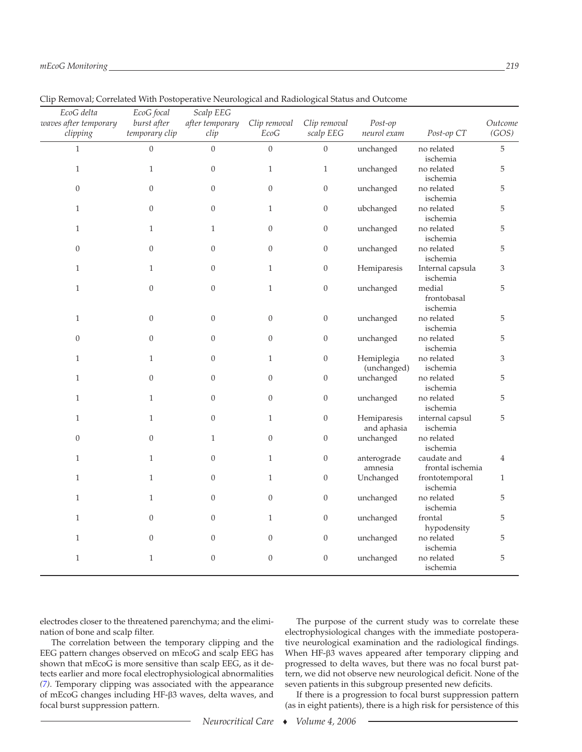| EcoG delta<br>waves after temporary<br>clipping | EcoG focal<br>burst after<br>temporary clip | Scalp EEG<br>after temporary<br>clip | Clip removal<br>EcoG | Clip removal<br>scalp EEG | Post-op<br>neurol exam     | Post-op CT                        | Outcome<br>(GOS)            |
|-------------------------------------------------|---------------------------------------------|--------------------------------------|----------------------|---------------------------|----------------------------|-----------------------------------|-----------------------------|
| $\mathbf{1}$                                    | $\boldsymbol{0}$                            | $\mathbf{0}$                         | $\boldsymbol{0}$     | $\boldsymbol{0}$          | unchanged                  | no related<br>ischemia            | $\sqrt{5}$                  |
| $\mathbf{1}$                                    | $\mathbf{1}$                                | $\boldsymbol{0}$                     | $\mathbf{1}$         | $\mathbf{1}$              | unchanged                  | no related<br>ischemia            | $\mathbf 5$                 |
| $\boldsymbol{0}$                                | $\boldsymbol{0}$                            | $\overline{0}$                       | $\mathbf{0}$         | $\boldsymbol{0}$          | unchanged                  | no related<br>ischemia            | $\mathbf 5$                 |
| $\mathbf{1}$                                    | $\boldsymbol{0}$                            | $\boldsymbol{0}$                     | $\mathbf{1}$         | $\boldsymbol{0}$          | ubchanged                  | no related<br>ischemia            | $\mathbf 5$                 |
| $\mathbf{1}$                                    | $\mathbf{1}$                                | $\mathbf{1}$                         | $\boldsymbol{0}$     | $\boldsymbol{0}$          | unchanged                  | no related<br>ischemia            | 5                           |
| $\boldsymbol{0}$                                | $\boldsymbol{0}$                            | $\overline{0}$                       | $\mathbf{0}$         | $\boldsymbol{0}$          | unchanged                  | no related<br>ischemia            | $\mathbf 5$                 |
| $\mathbf{1}$                                    | $\mathbf{1}$                                | $\overline{0}$                       | $\mathbf{1}$         | $\boldsymbol{0}$          | Hemiparesis                | Internal capsula<br>ischemia      | $\ensuremath{\mathfrak{Z}}$ |
| $\mathbf{1}$                                    | $\boldsymbol{0}$                            | $\boldsymbol{0}$                     | $\mathbf{1}$         | $\boldsymbol{0}$          | unchanged                  | medial<br>frontobasal<br>ischemia | $\mathbf 5$                 |
| $\mathbf{1}$                                    | $\boldsymbol{0}$                            | $\boldsymbol{0}$                     | $\mathbf{0}$         | $\mathbf{0}$              | unchanged                  | no related<br>ischemia            | 5                           |
| $\boldsymbol{0}$                                | $\boldsymbol{0}$                            | $\boldsymbol{0}$                     | $\mathbf{0}$         | $\boldsymbol{0}$          | unchanged                  | no related<br>ischemia            | 5                           |
| $\mathbf{1}$                                    | $\mathbf{1}$                                | $\boldsymbol{0}$                     | $\mathbf{1}$         | $\boldsymbol{0}$          | Hemiplegia<br>(unchanged)  | no related<br>ischemia            | 3                           |
| $\mathbf{1}$                                    | $\boldsymbol{0}$                            | $\overline{0}$                       | $\boldsymbol{0}$     | $\boldsymbol{0}$          | unchanged                  | no related<br>ischemia            | 5                           |
| $\mathbf{1}$                                    | $\mathbf{1}$                                | $\boldsymbol{0}$                     | $\mathbf{0}$         | $\boldsymbol{0}$          | unchanged                  | no related<br>ischemia            | $\mathbf 5$                 |
| $\mathbf{1}$                                    | $\mathbf{1}$                                | $\overline{0}$                       | $\mathbf{1}$         | $\boldsymbol{0}$          | Hemiparesis<br>and aphasia | internal capsul<br>ischemia       | 5                           |
| $\boldsymbol{0}$                                | $\boldsymbol{0}$                            | $\mathbf{1}$                         | $\boldsymbol{0}$     | $\boldsymbol{0}$          | unchanged                  | no related<br>ischemia            |                             |
| $\mathbf{1}$                                    | $\mathbf{1}$                                | $\boldsymbol{0}$                     | $\mathbf{1}$         | $\boldsymbol{0}$          | anterograde<br>amnesia     | caudate and<br>frontal ischemia   | $\overline{4}$              |
| $\mathbf{1}$                                    | $\mathbf{1}$                                | $\boldsymbol{0}$                     | $\mathbf{1}$         | $\boldsymbol{0}$          | Unchanged                  | frontotemporal<br>ischemia        | $\mathbf{1}$                |
| $\mathbf{1}$                                    | $\mathbf{1}$                                | $\theta$                             | $\boldsymbol{0}$     | $\boldsymbol{0}$          | unchanged                  | no related<br>ischemia            | $\mathbf 5$                 |
| $\mathbf{1}$                                    | $\boldsymbol{0}$                            | $\boldsymbol{0}$                     | $\mathbf{1}$         | $\boldsymbol{0}$          | unchanged                  | frontal<br>hypodensity            | 5                           |
| $\mathbf{1}$                                    | $\boldsymbol{0}$                            | $\overline{0}$                       | $\mathbf{0}$         | $\boldsymbol{0}$          | unchanged                  | no related<br>ischemia            | $\mathbf 5$                 |
| $\mathbf{1}$                                    | $\mathbf{1}$                                | $\boldsymbol{0}$                     | $\boldsymbol{0}$     | $\boldsymbol{0}$          | unchanged                  | no related<br>ischemia            | 5                           |

Clip Removal; Correlated With Postoperative Neurological and Radiological Status and Outcome

 electrodes closer to the threatened parenchyma; and the elimination of bone and scalp filter.

 The correlation between the temporary clipping and the EEG pattern changes observed on mEcoG and scalp EEG has shown that mEcoG is more sensitive than scalp EEG, as it detects earlier and more focal electrophysiological abnormalities  *[\(7\)](#page-6-0)* . Temporary clipping was associated with the appearance of mEcoG changes including HF-β3 waves, delta waves, and focal burst suppression pattern.

 The purpose of the current study was to correlate these electrophysiological changes with the immediate postoperative neurological examination and the radiological findings. When HF-ß3 waves appeared after temporary clipping and progressed to delta waves, but there was no focal burst pattern, we did not observe new neurological deficit. None of the seven patients in this subgroup presented new deficits.

 If there is a progression to focal burst suppression pattern (as in eight patients), there is a high risk for persistence of this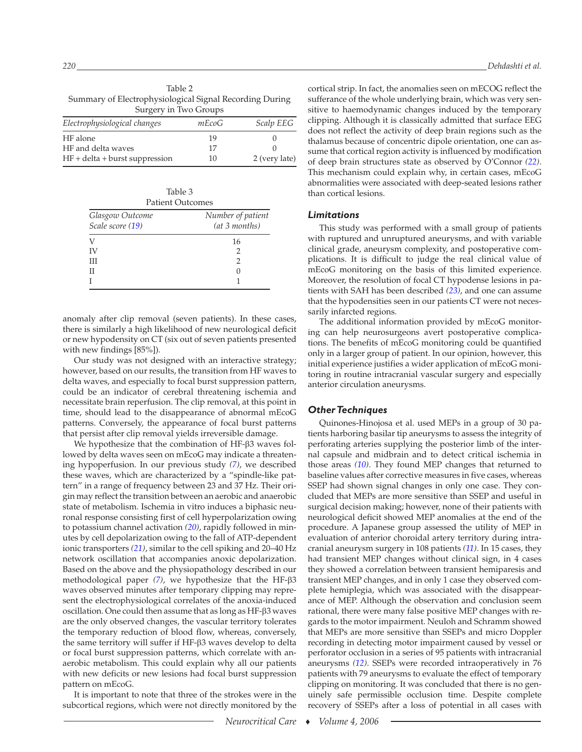<span id="page-5-0"></span> Table 2 Summary of Electrophysiological Signal Recording During Surgery in Two Groups

| Electrophysiological changes     | mEcoG | Scalp EEG     |
|----------------------------------|-------|---------------|
| HF alone                         | 19    |               |
| HF and delta waves               | 17    |               |
| $HF + delta + burst$ suppression | 10    | 2 (very late) |

 Table 3 Patient Outcomes

| 1 aucht Outcomes |                   |  |  |  |
|------------------|-------------------|--|--|--|
| Glasgow Outcome  | Number of patient |  |  |  |
| Scale score (19) | (at 3 months)     |  |  |  |
| V                | 16                |  |  |  |
| ΙV               |                   |  |  |  |
| Ш                | $\mathcal{D}$     |  |  |  |
| П                |                   |  |  |  |
|                  |                   |  |  |  |

anomaly after clip removal (seven patients). In these cases, there is similarly a high likelihood of new neurological deficit or new hypodensity on CT (six out of seven patients presented with new findings [85%]).

 Our study was not designed with an interactive strategy; however, based on our results, the transition from HF waves to delta waves, and especially to focal burst suppression pattern, could be an indicator of cerebral threatening ischemia and necessitate brain reperfusion. The clip removal, at this point in time, should lead to the disappearance of abnormal mEcoG patterns. Conversely, the appearance of focal burst patterns that persist after clip removal yields irreversible damage.

We hypothesize that the combination of HF- $\beta$ 3 waves followed by delta waves seen on mEcoG may indicate a threatening hypoperfusion. In our previous study (7), we described these waves, which are characterized by a "spindle-like pattern" in a range of frequency between 23 and 37 Hz. Their origin may reflect the transition between an aerobic and anaerobic state of metabolism. Ischemia in vitro induces a biphasic neuronal response consisting first of cell hyperpolarization owing to potassium channel activation *[\(20\)](#page-6-0)* , rapidly followed in minutes by cell depolarization owing to the fall of ATP-dependent ionic transporters  $(21)$ , similar to the cell spiking and 20–40 Hz network oscillation that accompanies anoxic depolarization. Based on the above and the physiopathology described in our methodological paper (7), we hypothesize that the HF- $\beta$ 3 waves observed minutes after temporary clipping may represent the electrophysiological correlates of the anoxia-induced oscillation. One could then assume that as long as  $HF- $\beta$ 3 waves$ are the only observed changes, the vascular territory tolerates the temporary reduction of blood flow, whereas, conversely, the same territory will suffer if HF- $\beta$ 3 waves develop to delta or focal burst suppression patterns, which correlate with anaerobic metabolism. This could explain why all our patients with new deficits or new lesions had focal burst suppression pattern on mEcoG.

 It is important to note that three of the strokes were in the subcortical regions, which were not directly monitored by the cortical strip. In fact, the anomalies seen on mECOG reflect the sufferance of the whole underlying brain, which was very sensitive to haemodynamic changes induced by the temporary clipping. Although it is classically admitted that surface EEG does not reflect the activity of deep brain regions such as the thalamus because of concentric dipole orientation, one can assume that cortical region activity is influenced by modification of deep brain structures state as observed by O'Connor *[\(22\)](#page-7-0)* . This mechanism could explain why, in certain cases, mEcoG abnormalities were associated with deep-seated lesions rather than cortical lesions.

#### *Limitations*

 This study was performed with a small group of patients with ruptured and unruptured aneurysms, and with variable clinical grade, aneurysm complexity, and postoperative complications. It is difficult to judge the real clinical value of mEcoG monitoring on the basis of this limited experience. Moreover, the resolution of focal CT hypodense lesions in patients with SAH has been described *[\(23\)](#page-7-0)* , and one can assume that the hypodensities seen in our patients CT were not necessarily infarcted regions.

 The additional information provided by mEcoG monitoring can help neurosurgeons avert postoperative complications. The benefits of mEcoG monitoring could be quantified only in a larger group of patient. In our opinion, however, this initial experience justifies a wider application of mEcoG monitoring in routine intracranial vascular surgery and especially anterior circulation aneurysms.

#### *Other Techniques*

 Quinones-Hinojosa et al. used MEPs in a group of 30 patients harboring basilar tip aneurysms to assess the integrity of perforating arteries supplying the posterior limb of the internal capsule and midbrain and to detect critical ischemia in those areas *[\(10\)](#page-6-0)* . They found MEP changes that returned to baseline values after corrective measures in five cases, whereas SSEP had shown signal changes in only one case. They concluded that MEPs are more sensitive than SSEP and useful in surgical decision making; however, none of their patients with neurological deficit showed MEP anomalies at the end of the procedure. A Japanese group assessed the utility of MEP in evaluation of anterior choroidal artery territory during intracranial aneurysm surgery in 108 patients *[\(11\)](#page-6-0)* . In 15 cases, they had transient MEP changes without clinical sign, in 4 cases they showed a correlation between transient hemiparesis and transient MEP changes, and in only 1 case they observed complete hemiplegia, which was associated with the disappearance of MEP. Although the observation and conclusion seem rational, there were many false positive MEP changes with regards to the motor impairment. Neuloh and Schramm showed that MEPs are more sensitive than SSEPs and micro Doppler recording in detecting motor impairment caused by vessel or perforator occlusion in a series of 95 patients with intracranial aneurysms (12). SSEPs were recorded intraoperatively in 76 patients with 79 aneurysms to evaluate the effect of temporary clipping on monitoring. It was concluded that there is no genuinely safe permissible occlusion time. Despite complete recovery of SSEPs after a loss of potential in all cases with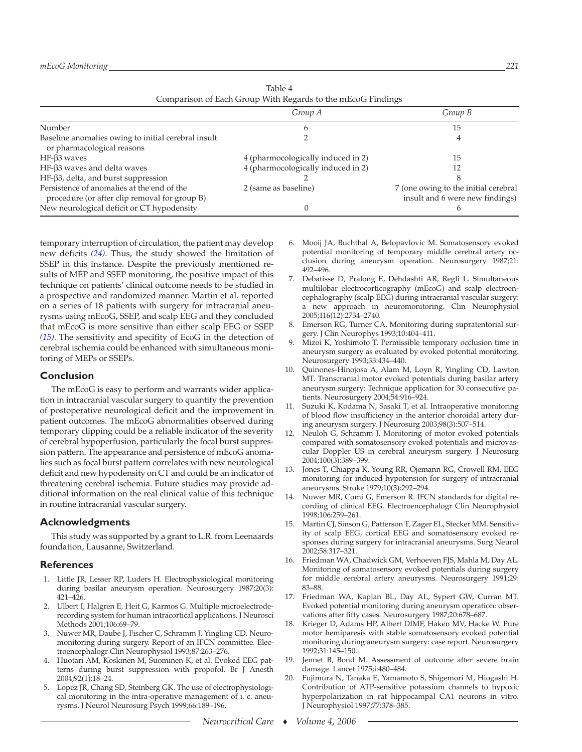| Table 4                                                     |
|-------------------------------------------------------------|
| Comparison of Each Group With Regards to the mEcoG Findings |

<span id="page-6-0"></span>

|                                                                                             | Group A                            | Group B                                                                 |
|---------------------------------------------------------------------------------------------|------------------------------------|-------------------------------------------------------------------------|
| Number                                                                                      |                                    | 15                                                                      |
| Baseline anomalies owing to initial cerebral insult<br>or pharmacological reasons           |                                    |                                                                         |
| $HF-63$ waves                                                                               | 4 (pharmocologically induced in 2) | 15                                                                      |
| HF-β3 waves and delta waves                                                                 | 4 (pharmocologically induced in 2) |                                                                         |
| HF-β3, delta, and burst suppression                                                         |                                    |                                                                         |
| Persistence of anomalies at the end of the<br>procedure (or after clip removal for group B) | 2 (same as baseline)               | 7 (one owing to the initial cerebral<br>insult and 6 were new findings) |
| New neurological deficit or CT hypodensity                                                  |                                    |                                                                         |

 temporary interruption of circulation, the patient may develop new deficits *[\(24\)](#page-7-0)* . Thus, the study showed the limitation of SSEP in this instance. Despite the previously mentioned results of MEP and SSEP monitoring, the positive impact of this technique on patients' clinical outcome needs to be studied in a prospective and randomized manner. Martin et al. reported on a series of 18 patients with surgery for intracranial aneurysms using mEcoG, SSEP, and scalp EEG and they concluded that mEcoG is more sensitive than either scalp EEG or SSEP  *(15)* . The sensitivity and specifity of EcoG in the detection of cerebral ischemia could be enhanced with simultaneous monitoring of MEPs or SSEPs.

### **Conclusion**

 The mEcoG is easy to perform and warrants wider application in intracranial vascular surgery to quantify the prevention of postoperative neurological deficit and the improvement in patient outcomes. The mEcoG abnormalities observed during temporary clipping could be a reliable indicator of the severity of cerebral hypoperfusion, particularly the focal burst suppression pattern. The appearance and persistence of mEcoG anomalies such as focal burst pattern correlates with new neurological deficit and new hypodensity on CT and could be an indicator of threatening cerebral ischemia. Future studies may provide additional information on the real clinical value of this technique in routine intracranial vascular surgery.

## **Acknowledgments**

 This study was supported by a grant to L.R. from Leenaards foundation, Lausanne, Switzerland.

#### **References**

- 1. Little JR, Lesser RP, Luders H. Electrophysiological monitoring during basilar aneurysm operation. Neurosurgery 1987;20(3): 421 – 426.
- 2. Ulbert I, Halgren E, Heit G, Karmos G. Multiple microelectroderecording system for human intracortical applications. J Neurosci Methods 2001;106:69-79.
- 3. Nuwer MR, Daube J, Fischer C, Schramm J, Yingling CD. Neuromonitoring during surgery. Report of an IFCN committee . Electroencephalogr Clin Neurophysiol 1993;87:263-276.
- 4. Huotari AM, Koskinen M, Suominen K, et al. Evoked EEG patterns during burst suppression with propofol . Br J Anesth 2004;92(1):18-24.
- 5. Lopez JR, Chang SD, Steinberg GK. The use of electrophysiological monitoring in the intra-operative management of i. c. aneurysms. J Neurol Neurosurg Psych 1999;66:189-196.
- 6. Mooij JA, Buchthal A, Belopavlovic M. Somatosensory evoked potential monitoring of temporary middle cerebral artery occlusion during aneurysm operation. Neurosurgery 1987;21: 492-496.
- 7. Debatisse D, Pralong E, Dehdashti AR, Regli L. Simultaneous multilobar electrocorticography (mEcoG) and scalp electroencephalography (scalp EEG) during intracranial vascular surgery: a new approach in neuromonitoring. Clin Neurophysiol 2005 ; 116 (12) : 2734 – 2740 .
- Emerson RG, Turner CA. Monitoring during supratentorial surgery. J Clin Neurophys 1993;10:404-411.
- Mizoi K, Yoshimoto T. Permissible temporary occlusion time in aneurysm surgery as evaluated by evoked potential monitoring. Neurosurgery 1993;33:434-440.
- 10. Quinones-Hinojosa A, Alam M, Loyn R, Yingling CD, Lawton MT. Transcranial motor evoked potentials during basilar artery aneurysm surgery: Technique application for 30 consecutive patients. Neurosurgery 2004;54:916-924.
- 11. Suzuki K, Kodama N, Sasaki T, et al. Intraoperative monitoring of blood flow insufficiency in the anterior choroidal artery during aneurysm surgery. J Neurosurg 2003;98(3):507-514.
- 12. Neuloh G, Schramm J. Monitoring of motor evoked potentials compared with somatosensory evoked potentials and microvascular Doppler US in cerebral aneurysm surgery . J Neurosurg 2004 ; 100 (3) : 389 – 399 .
- 13. Jones T, Chiappa K, Young RR, Ojemann RG, Crowell RM. EEG monitoring for induced hypotension for surgery of intracranial aneurysms. Stroke 1979;10(3):292-294.
- 14. Nuwer MR, Comi G, Emerson R. IFCN standards for digital recording of clinical EEG. Electroencephalogr Clin Neurophysiol 1998;106:259-261.
- 15. Martin CJ, Sinson G, Patterson T, Zager EL, Stecker MM. Sensitivity of scalp EEG, cortical EEG and somatosensory evoked responses during surgery for intracranial aneurysms . Surg Neurol 2002 ; 58 : 317 – 321 .
- 16. Friedman WA, Chadwick GM, Verhoeven FJS, Mahla M, Day AL. Monitoring of somatosensory evoked potentials during surgery for middle cerebral artery aneurysms. Neurosurgery 1991;29: 83 – 88.
- 17. Friedman WA, Kaplan BL, Day AL, Sypert GW, Curran MT. Evoked potential monitoring during aneurysm operation: observations after fifty cases. Neurosurgery 1987;20:678-687.
- 18. Krieger D, Adams HP, Albert DIMF, Haken MV, Hacke W. Pure motor hemiparesis with stable somatosensory evoked potential monitoring during aneurysm surgery: case report. Neurosurgery 1992;31:145-150.
- 19. Jennet B, Bond M. Assessment of outcome after severe brain damage. Lancet 1975;i:480-484.
- 20. Fujimura N, Tanaka E, Yamamoto S, Shigemori M, Hiogashi H. Contribution of ATP-sensitive potassium channels to hypoxic hyperpolarization in rat hippocampal CA1 neurons in vitro. J Neurophysiol 1997;77:378-385.

*Neurocritical Care* ♦ *Volume 4, 2006*